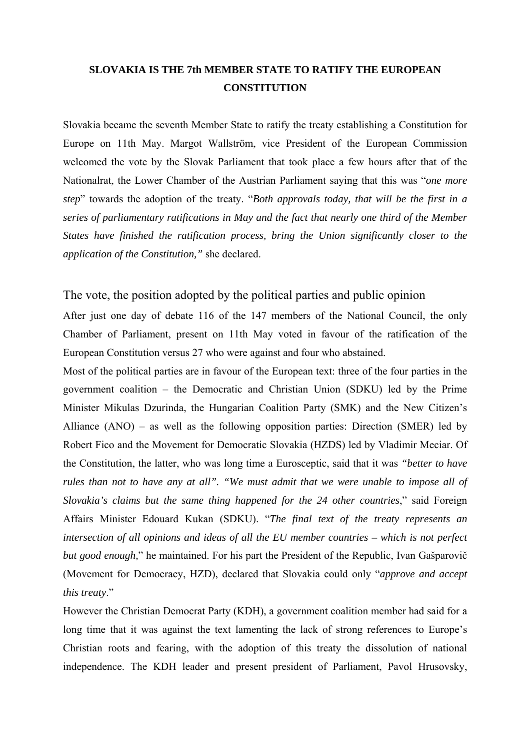## **SLOVAKIA IS THE 7th MEMBER STATE TO RATIFY THE EUROPEAN CONSTITUTION**

Slovakia became the seventh Member State to ratify the treaty establishing a Constitution for Europe on 11th May. Margot Wallström, vice President of the European Commission welcomed the vote by the Slovak Parliament that took place a few hours after that of the Nationalrat, the Lower Chamber of the Austrian Parliament saying that this was *<i>one more step*" towards the adoption of the treaty. "Both approvals today, that will be the first in a *series of parliamentary ratifications in May and the fact that nearly one third of the Member States have finished the ratification process, bring the Union significantly closer to the application of the Constitution,"* she declared.

## The vote, the position adopted by the political parties and public opinion

After just one day of debate 116 of the 147 members of the National Council, the only Chamber of Parliament, present on 11th May voted in favour of the ratification of the European Constitution versus 27 who were against and four who abstained.

Most of the political parties are in favour of the European text: three of the four parties in the government coalition  $-$  the Democratic and Christian Union (SDKU) led by the Prime Minister Mikulas Dzurinda, the Hungarian Coalition Party (SMK) and the New Citizenís Alliance  $(ANO)$  – as well as the following opposition parties: Direction  $(SMER)$  led by Robert Fico and the Movement for Democratic Slovakia (HZDS) led by Vladimir Meciar. Of the Constitution, the latter, who was long time a Eurosceptic, said that it was *"better to have rules than not to have any at all". "We must admit that we were unable to impose all of Slovakia's claims but the same thing happened for the 24 other countries*," said Foreign Affairs Minister Edouard Kukan (SDKU). "The final text of the treaty represents an *intersection of all opinions and ideas of all the EU member countries – which is not perfect but good enough*," he maintained. For his part the President of the Republic, Ivan Gašparovič (Movement for Democracy, HZD), declared that Slovakia could only *"approve and accept this treaty.*"

However the Christian Democrat Party (KDH), a government coalition member had said for a long time that it was against the text lamenting the lack of strong references to Europe's Christian roots and fearing, with the adoption of this treaty the dissolution of national independence. The KDH leader and present president of Parliament, Pavol Hrusovsky,